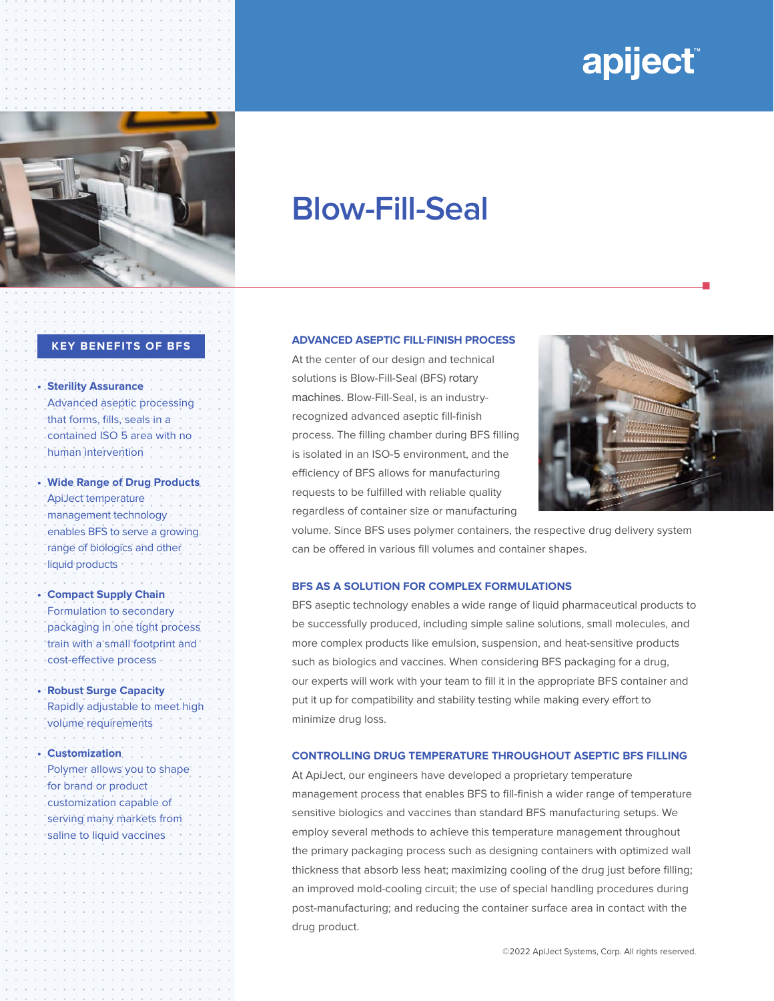# **apiject**



## **Blow-Fill-Seal**

#### **KEY BENEFITS OF BFS**

**• Sterility Assurance** Advanced aseptic processing that forms, fills, seals in a contained ISO 5 area with no human intervention

**• Wide Range of Drug Products**  ApiJect temperature management technology enables BFS to serve a growing range of biologics and other liquid products

**• Compact Supply Chain** Formulation to secondary packaging in one tight process train with a small footprint and cost-effective process

**• Robust Surge Capacity** Rapidly adjustable to meet high volume requirements

**• Customization**  Polymer allows you to shape for brand or product customization capable of serving many markets from saline to liquid vaccines

#### **ADVANCED ASEPTIC FILL-FINISH PROCESS**

At the center of our design and technical solutions is Blow-Fill-Seal (BFS) rotary machines. Blow-Fill-Seal, is an industryrecognized advanced aseptic fill-finish process. The filling chamber during BFS filling is isolated in an ISO-5 environment, and the efficiency of BFS allows for manufacturing requests to be fulfilled with reliable quality regardless of container size or manufacturing



n

volume. Since BFS uses polymer containers, the respective drug delivery system can be offered in various fill volumes and container shapes.

#### **BFS AS A SOLUTION FOR COMPLEX FORMULATIONS**

BFS aseptic technology enables a wide range of liquid pharmaceutical products to be successfully produced, including simple saline solutions, small molecules, and more complex products like emulsion, suspension, and heat-sensitive products such as biologics and vaccines. When considering BFS packaging for a drug, our experts will work with your team to fill it in the appropriate BFS container and put it up for compatibility and stability testing while making every effort to minimize drug loss.

#### **CONTROLLING DRUG TEMPERATURE THROUGHOUT ASEPTIC BFS FILLING**

At ApiJect, our engineers have developed a proprietary temperature management process that enables BFS to fill-finish a wider range of temperature sensitive biologics and vaccines than standard BFS manufacturing setups. We employ several methods to achieve this temperature management throughout the primary packaging process such as designing containers with optimized wall thickness that absorb less heat; maximizing cooling of the drug just before filling; an improved mold-cooling circuit; the use of special handling procedures during post-manufacturing; and reducing the container surface area in contact with the drug product.